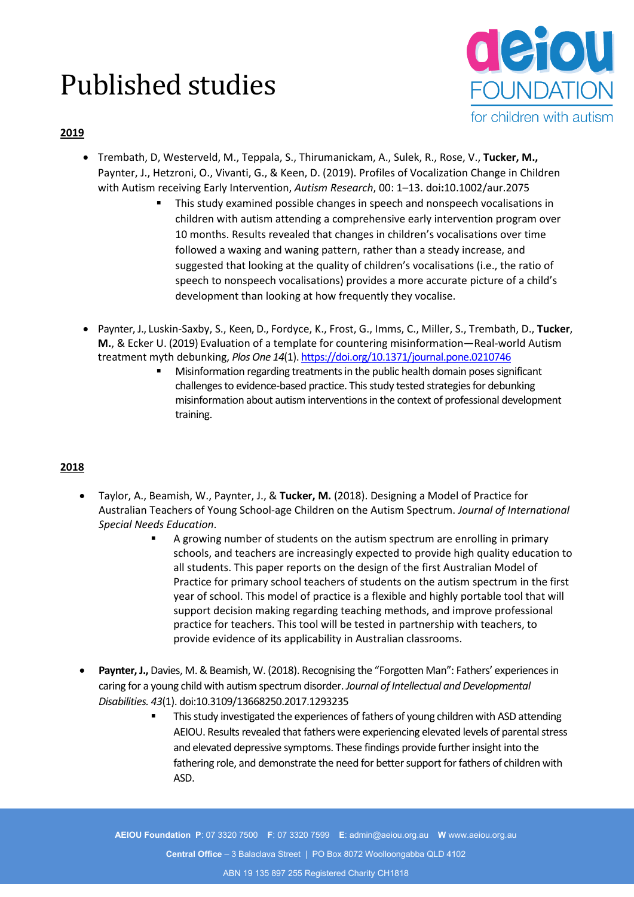# Published studies



## **2019**

- Trembath, D, Westerveld, M., Teppala, S., Thirumanickam, A., Sulek, R., Rose, V., **Tucker, M.,** Paynter, J., Hetzroni, O., Vivanti, G., & Keen, D. (2019). Profiles of Vocalization Change in Children with Autism receiving Early Intervention, *Autism Research*, 00: 1–13. doi**:**10.1002/aur.2075
	- This study examined possible changes in speech and nonspeech vocalisations in children with autism attending a comprehensive early intervention program over 10 months. Results revealed that changes in children's vocalisations over time followed a waxing and waning pattern, rather than a steady increase, and suggested that looking at the quality of children's vocalisations (i.e., the ratio of speech to nonspeech vocalisations) provides a more accurate picture of a child's development than looking at how frequently they vocalise.
- Paynter, J., Luskin-Saxby, S., Keen, D., Fordyce, K., Frost, G., Imms, C., Miller, S., Trembath, D., **Tucker**, **M.**, & Ecker U. (2019) Evaluation of a template for countering misinformation—Real-world Autism treatment myth debunking, *Plos One 14*(1)[. https://doi.org/10.1371/journal.pone.0210746](https://doi.org/10.1371/journal.pone.0210746)
	- Misinformation regarding treatments in the public health domain poses significant challenges to evidence-based practice. This study tested strategies for debunking misinformation about autism interventions in the context of professional development training.

# **2018**

- Taylor, A., Beamish, W., Paynter, J., & **Tucker, M.** (2018). Designing a Model of Practice for Australian Teachers of Young School-age Children on the Autism Spectrum. *Journal of International Special Needs Education*.
	- A growing number of students on the autism spectrum are enrolling in primary schools, and teachers are increasingly expected to provide high quality education to all students. This paper reports on the design of the first Australian Model of Practice for primary school teachers of students on the autism spectrum in the first year of school. This model of practice is a flexible and highly portable tool that will support decision making regarding teaching methods, and improve professional practice for teachers. This tool will be tested in partnership with teachers, to provide evidence of its applicability in Australian classrooms.
- **Paynter, J.,** Davies, M. & Beamish, W. (2018). Recognising the "Forgotten Man": Fathers' experiences in caring for a young child with autism spectrum disorder. *Journal of Intellectual and Developmental Disabilities. 43*(1). doi:10.3109/13668250.2017.1293235
	- This study investigated the experiences of fathers of young children with ASD attending AEIOU. Results revealed that fathers were experiencing elevated levels of parental stress and elevated depressive symptoms. These findings provide further insight into the fathering role, and demonstrate the need for better support for fathers of children with ASD.

**AEIOU Foundation P**: 07 3320 7500 **F**: 07 3320 7599 **E**: admin@aeiou.org.au **W** www.aeiou.org.au **Central Office** – 3 Balaclava Street | PO Box 8072 Woolloongabba QLD 4102 ABN 19 135 897 255 Registered Charity CH1818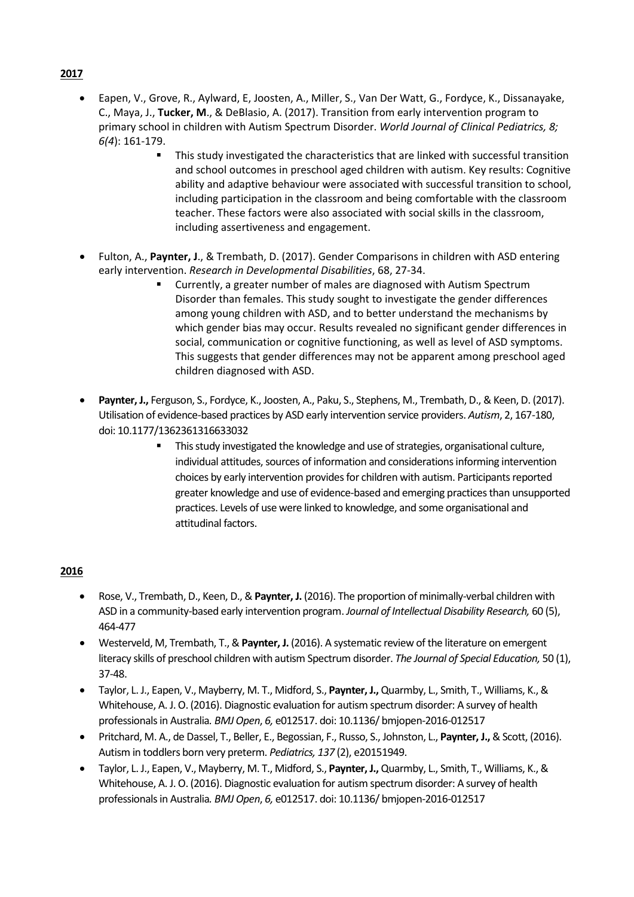- Eapen, V., Grove, R., Aylward, E, Joosten, A., Miller, S., Van Der Watt, G., Fordyce, K., Dissanayake, C., Maya, J., **Tucker, M**., & DeBlasio, A. (2017). Transition from early intervention program to primary school in children with Autism Spectrum Disorder. *World Journal of Clinical Pediatrics, 8; 6(4*): 161-179.
	- This study investigated the characteristics that are linked with successful transition and school outcomes in preschool aged children with autism. Key results: Cognitive ability and adaptive behaviour were associated with successful transition to school, including participation in the classroom and being comfortable with the classroom teacher. These factors were also associated with social skills in the classroom, including assertiveness and engagement.
- Fulton, A., **Paynter, J**., & Trembath, D. (2017). Gender Comparisons in children with ASD entering early intervention. *Research in Developmental Disabilities*, 68, 27-34.
	- Currently, a greater number of males are diagnosed with Autism Spectrum Disorder than females. This study sought to investigate the gender differences among young children with ASD, and to better understand the mechanisms by which gender bias may occur. Results revealed no significant gender differences in social, communication or cognitive functioning, as well as level of ASD symptoms. This suggests that gender differences may not be apparent among preschool aged children diagnosed with ASD.
- **Paynter, J.,** Ferguson, S., Fordyce, K., Joosten, A., Paku, S., Stephens, M., Trembath, D., & Keen, D. (2017). Utilisation of evidence-based practices by ASD early intervention service providers. *Autism*, 2, 167-180, doi: 10.1177/1362361316633032
	- This study investigated the knowledge and use of strategies, organisational culture, individual attitudes, sources of information and considerations informing intervention choices by early intervention provides for children with autism. Participants reported greater knowledge and use of evidence-based and emerging practices than unsupported practices. Levels of use were linked to knowledge, and some organisational and attitudinal factors.

#### **2016**

- Rose, V., Trembath, D., Keen, D., & **Paynter, J.** (2016). The proportion of minimally-verbal children with ASD in a community-based early intervention program. *Journal of Intellectual Disability Research,* 60 (5), 464-477
- Westerveld, M, Trembath, T., & **Paynter, J.** (2016). A systematic review of the literature on emergent literacy skills of preschool children with autism Spectrum disorder. *The Journal of Special Education,* 50 (1), 37-48.
- Taylor, L. J., Eapen, V., Mayberry, M. T., Midford, S., **Paynter, J.,** Quarmby, L., Smith, T., Williams, K., & Whitehouse, A. J. O. (2016). Diagnostic evaluation for autism spectrum disorder: A survey of health professionals in Australia*. BMJ Open*, *6,* e012517. doi: 10.1136/ bmjopen-2016-012517
- Pritchard, M. A., de Dassel, T., Beller, E., Begossian, F., Russo, S., Johnston, L., **Paynter, J.,**& Scott, (2016). Autism in toddlers born very preterm. *Pediatrics, 137* (2), e20151949.
- Taylor, L. J., Eapen, V., Mayberry, M. T., Midford, S., **Paynter, J.,** Quarmby, L., Smith, T., Williams, K., & Whitehouse, A. J. O. (2016). Diagnostic evaluation for autism spectrum disorder: A survey of health professionals in Australia*. BMJ Open*, *6,* e012517. doi: 10.1136/ bmjopen-2016-012517

#### **2017**